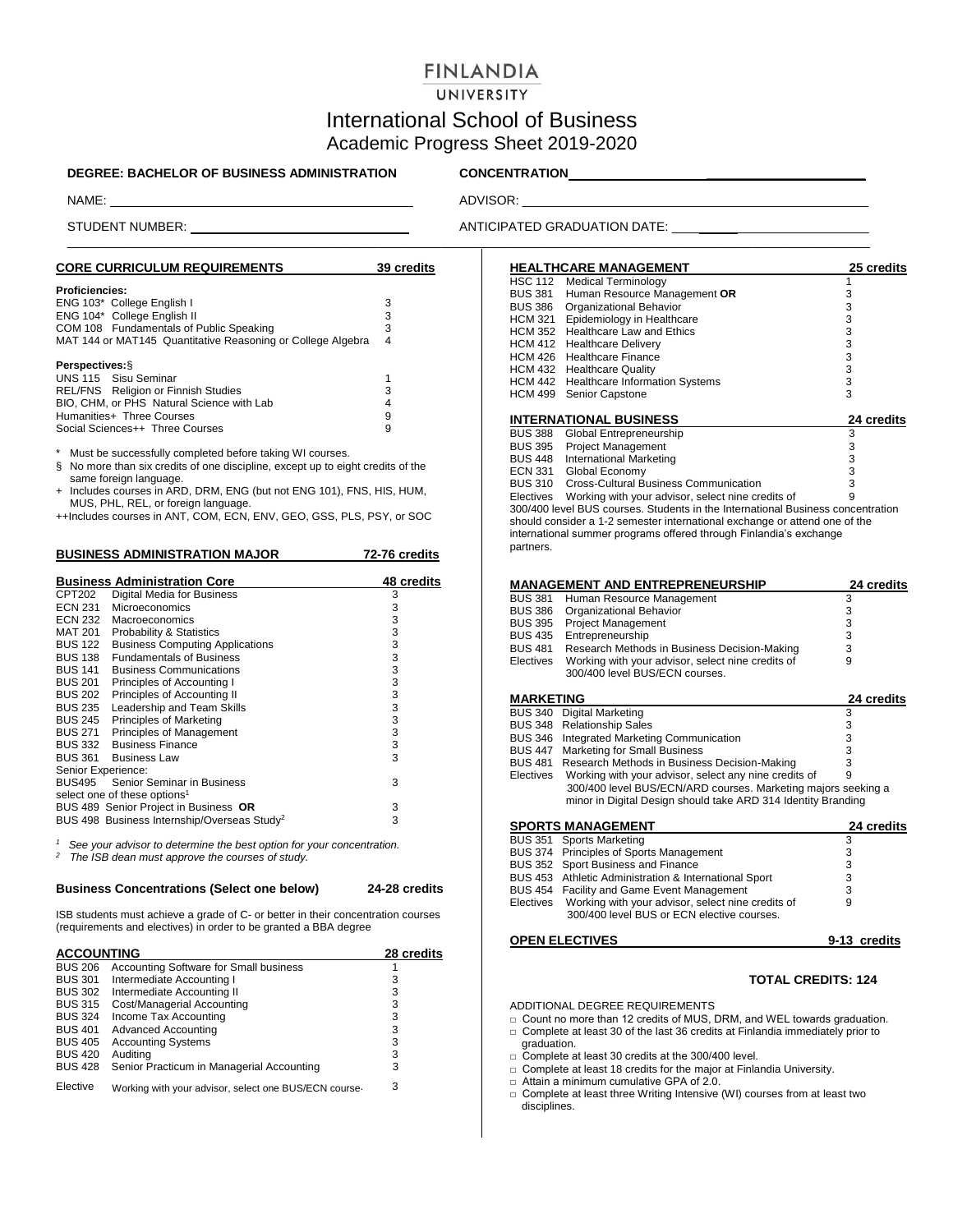# **FINLANDIA**

# UNIVERSITY

# International School of Business Academic Progress Sheet 2019-2020

## **DEGREE: BACHELOR OF BUSINESS ADMINISTRATION CONCENTRATION \_\_\_\_\_\_\_\_\_\_\_\_\_\_\_\_\_\_\_\_\_\_\_**

\_\_\_\_\_\_\_\_\_\_\_\_\_\_\_\_\_\_\_\_\_\_\_\_\_\_\_\_\_\_\_\_\_\_\_\_\_\_\_\_\_\_\_\_\_\_\_\_\_\_\_\_\_\_\_\_\_\_\_\_\_\_\_\_\_\_\_\_\_\_\_\_\_\_\_\_\_\_\_\_\_\_\_\_\_\_\_\_\_\_\_\_\_\_\_\_\_\_\_\_\_\_\_\_\_\_\_\_\_\_\_\_\_\_\_\_

NAME: ADVISOR: \_\_\_\_\_\_\_\_\_\_\_\_\_\_\_\_\_\_\_\_\_\_\_\_\_\_\_\_\_\_\_\_\_\_\_\_\_\_\_\_\_\_\_\_\_\_\_\_\_\_

STUDENT NUMBER: \_ ANTICIPATED GRADUATION DATE: \_\_\_\_ \_\_\_\_\_\_\_\_\_\_\_\_\_\_\_\_\_\_\_

| <b>CORE CURRICULUM REQUIREMENTS</b>                         | 39 credits |
|-------------------------------------------------------------|------------|
| <b>Proficiencies:</b>                                       |            |
| ENG 103* College English I                                  | з          |
| ENG 104* College English II                                 | 3          |
| COM 108 Fundamentals of Public Speaking                     | 3          |
| MAT 144 or MAT145 Quantitative Reasoning or College Algebra | 4          |
| <b>Perspectives: §</b>                                      |            |
| UNS 115 Sisu Seminar                                        |            |
| REL/FNS Religion or Finnish Studies                         | 3          |
| BIO, CHM, or PHS Natural Science with Lab                   | 4          |
| Humanities+ Three Courses                                   | 9          |
| Social Sciences++ Three Courses                             | 9          |

Must be successfully completed before taking WI courses.

§ No more than six credits of one discipline, except up to eight credits of the same foreign language.

+ Includes courses in ARD, DRM, ENG (but not ENG 101), FNS, HIS, HUM, MUS, PHL, REL, or foreign language.

++Includes courses in ANT, COM, ECN, ENV, GEO, GSS, PLS, PSY, or SOC

|                    | <b>BUSINESS ADMINISTRATION MAJOR</b>                    | 72-76 credits |
|--------------------|---------------------------------------------------------|---------------|
|                    | <b>Business Administration Core</b>                     | 48 credits    |
| CPT202             | Digital Media for Business                              | 3             |
| ECN 231            | Microeconomics                                          | 3             |
|                    | ECN 232 Macroeconomics                                  | 3             |
|                    | MAT 201 Probability & Statistics                        | 3             |
| BUS 122            | <b>Business Computing Applications</b>                  | 3             |
|                    | BUS 138 Fundamentals of Business                        | 3             |
|                    | <b>BUS 141 Business Communications</b>                  | 3             |
| BUS 201            | Principles of Accounting I                              | 3             |
|                    | BUS 202 Principles of Accounting II                     | 3             |
| BUS 235            | Leadership and Team Skills                              | 3             |
| <b>BUS 245</b>     | Principles of Marketing                                 | 3             |
|                    | BUS 271 Principles of Management                        | 3             |
|                    | BUS 332 Business Finance                                | 3             |
|                    | BUS 361 Business Law                                    | 3             |
| Senior Experience: |                                                         |               |
| BUS495             | Senior Seminar in Business                              | 3             |
|                    | select one of these options <sup>1</sup>                |               |
|                    | BUS 489 Senior Project in Business OR                   | 3             |
|                    | BUS 498 Business Internship/Overseas Study <sup>2</sup> | 3             |

*1* <sup>1</sup> See your advisor to determine the best option for your concentration.<br><sup>2</sup> The ISB dean must approve the courses of study. *<sup>2</sup>The ISB dean must approve the courses of study.*

## **Business Concentrations (Select one below) 24-28 credits**

ISB students must achieve a grade of C- or better in their concentration courses (requirements and electives) in order to be granted a BBA degree

| <b>ACCOUNTING</b> |                                                       | 28 credits |
|-------------------|-------------------------------------------------------|------------|
| <b>BUS 206</b>    | Accounting Software for Small business                |            |
| <b>BUS 301</b>    | Intermediate Accounting I                             | 3          |
| <b>BUS 302</b>    | Intermediate Accounting II                            | 3          |
| <b>BUS 315</b>    | Cost/Managerial Accounting                            | 3          |
| <b>BUS 324</b>    | Income Tax Accounting                                 | 3          |
| <b>BUS 401</b>    | <b>Advanced Accounting</b>                            | 3          |
| <b>BUS 405</b>    | <b>Accounting Systems</b>                             | 3          |
| <b>BUS 420</b>    | Auditina                                              | 3          |
| <b>BUS 428</b>    | Senior Practicum in Managerial Accounting             | 3          |
| Elective          | Working with your advisor, select one BUS/ECN course- | 3          |

|                | <b>HEALTHCARE MANAGEMENT</b>                                                    | 25 credits |
|----------------|---------------------------------------------------------------------------------|------------|
| HSC 112        | <b>Medical Terminology</b>                                                      | 1          |
| <b>BUS 381</b> | Human Resource Management OR                                                    | 3          |
| <b>BUS 386</b> | Organizational Behavior                                                         | 3          |
| <b>HCM 321</b> | Epidemiology in Healthcare                                                      | 3          |
| HCM 352        | <b>Healthcare Law and Ethics</b>                                                | 3          |
| HCM 412        | <b>Healthcare Delivery</b>                                                      | 3          |
| HCM 426        | <b>Healthcare Finance</b>                                                       | 3          |
| HCM 432        | <b>Healthcare Quality</b>                                                       | 3          |
| HCM 442        | <b>Healthcare Information Systems</b>                                           | 3          |
| HCM 499        | Senior Capstone                                                                 | 3          |
|                |                                                                                 |            |
|                | <b>INTERNATIONAL BUSINESS</b>                                                   | 24 credits |
|                |                                                                                 |            |
| <b>BUS 388</b> | Global Entrepreneurship                                                         | 3          |
| <b>BUS 395</b> | <b>Project Management</b>                                                       | 3          |
| <b>BUS 448</b> | International Marketing                                                         | 3          |
|                | ECN 331 Global Economy                                                          | 3          |
| <b>BUS 310</b> | Cross-Cultural Business Communication                                           | 3          |
| Electives      | Working with your advisor, select nine credits of                               | 9          |
|                | 300/400 level BUS courses. Students in the International Business concentration |            |
|                | should consider a 1-2 semester international exchange or attend one of the      |            |
|                | international summer programs offered through Finlandia's exchange              |            |
| partners.      |                                                                                 |            |

|                  | <b>MANAGEMENT AND ENTREPRENEURSHIP</b>                        | 24 credits |
|------------------|---------------------------------------------------------------|------------|
| BUS 381          | Human Resource Management                                     | 3          |
| <b>BUS 386</b>   | Organizational Behavior                                       | 3          |
| <b>BUS 395</b>   | <b>Project Management</b>                                     | 3          |
|                  | BUS 435 Entrepreneurship                                      | 3          |
| <b>BUS 481</b>   | Research Methods in Business Decision-Making                  | 3          |
| Electives        | Working with your advisor, select nine credits of             | 9          |
|                  | 300/400 level BUS/ECN courses.                                |            |
| <b>MARKETING</b> |                                                               | 24 credits |
| <b>BUS 340</b>   | <b>Digital Marketing</b>                                      | 3          |
|                  | BUS 348 Relationship Sales                                    | 3          |
| <b>BUS 346</b>   | Integrated Marketing Communication                            | 3          |
| BUS 447          | Marketing for Small Business                                  | 3          |
| <b>BUS 481</b>   | Research Methods in Business Decision-Making                  | 3          |
| Electives        | Working with your advisor, select any nine credits of         | 9          |
|                  | 300/400 level BUS/ECN/ARD courses. Marketing majors seeking a |            |
|                  | minor in Digital Design should take ARD 314 Identity Branding |            |
|                  | <b>SPORTS MANAGEMENT</b>                                      | 24 credits |
|                  | BUS 351 Sports Marketing                                      | 3          |
|                  | BUS 374 Principles of Sports Management                       | 3          |
|                  | BUS 352 Sport Business and Finance                            | 3          |

| <b>OPEN ELECTIVES</b>                                                                                     | 9-13 credits |
|-----------------------------------------------------------------------------------------------------------|--------------|
| Electives Working with your advisor, select nine credits of<br>300/400 level BUS or ECN elective courses. | 9            |
| BUS 454 Facility and Game Event Management                                                                | 3            |
| BUS 453 Athletic Administration & International Sport                                                     | 3            |
| BUS 352 Sport Business and Finance                                                                        | 3            |

### **TOTAL CREDITS: 124**

ADDITIONAL DEGREE REQUIREMENTS

□ Count no more than 12 credits of MUS, DRM, and WEL towards graduation.

- □ Complete at least 30 of the last 36 credits at Finlandia immediately prior to graduation.
- □ Complete at least 30 credits at the 300/400 level.
- □ Complete at least 18 credits for the major at Finlandia University.
- □ Attain a minimum cumulative GPA of 2.0.
- □ Complete at least three Writing Intensive (WI) courses from at least two disciplines.